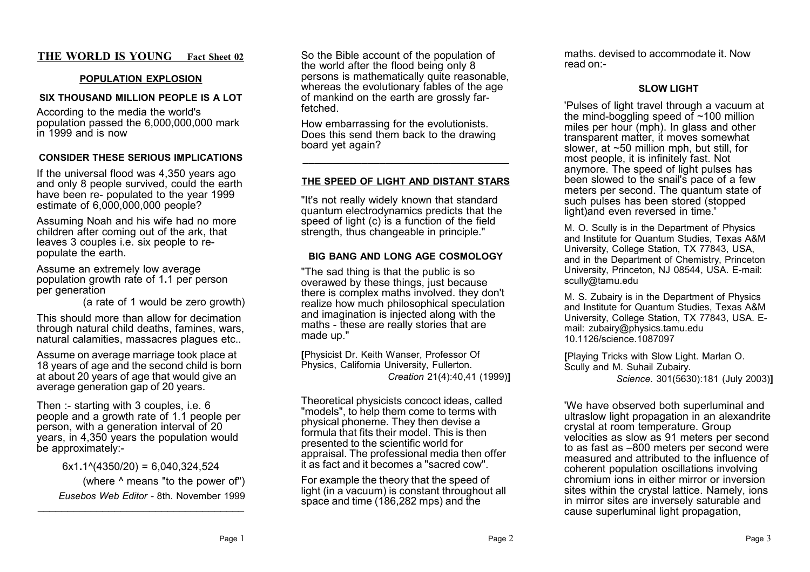# **THE WORLD IS YOUNG Fact Sheet 02**

#### **POPULATION EXPLOSION**

#### **SIX THOUSAND MILLION PEOPLE IS A LOT**

According to the media the world's population passed the 6,000,000,000 mark in 1999 and is now

### **CONSIDER THESE SERIOUS IMPLICATIONS**

If the universal flood was 4,350 years ago and only 8 people survived, could the earth have been re- populated to the year 1999 estimate of 6,000,000,000 people?

Assuming Noah and his wife had no more children after coming out of the ark, that leaves 3 couples i.e. six people to repopulate the earth.

Assume an extremely low average population growth rate of 1**.**1 per person per generation

(a rate of 1 would be zero growth)

This should more than allow for decimation through natural child deaths, famines, wars, natural calamities, massacres plagues etc..

Assume on average marriage took place at 18 years of age and the second child is born at about 20 years of age that would give an average generation gap of 20 years.

Then :- starting with 3 couples, i.e. 6 people and a growth rate of 1.1 people per person, with a generation interval of 20 years, in 4,350 years the population would be approximately:-

6x1**.**1^(4350/20) = 6,040,324,524 (where ^ means "to the power of") *Eusebos Web Editor -* 8th. November 1999

\_\_\_\_\_\_\_\_\_\_\_\_\_\_\_\_\_\_\_\_\_\_\_\_\_\_\_\_\_\_\_\_\_\_\_

So the Bible account of the population of the world after the flood being only 8 persons is mathematically quite reasonable, whereas the evolutionary fables of the age of mankind on the earth are grossly farfetched.

How embarrassing for the evolutionists. Does this send them back to the drawing board yet again?

#### **THE SPEED OF LIGHT AND DISTANT STARS**

**\_\_\_\_\_\_\_\_\_\_\_\_\_\_\_\_\_\_\_\_\_\_\_\_\_\_\_\_\_\_\_\_\_\_\_**

"It's not really widely known that standard quantum electrodynamics predicts that the speed of light (c) is a function of the field strength, thus changeable in principle."

#### **BIG BANG AND LONG AGE COSMOLOGY**

"The sad thing is that the public is so overawed by these things, just because there is complex maths involved. they don't realize how much philosophical speculation and imagination is injected along with the maths - these are really stories that are made up."

**[**Physicist Dr. Keith Wanser, Professor Of Physics, California University, Fullerton. *Creation* 21(4):40,41 (1999)**]**

Theoretical physicists concoct ideas, called "models", to help them come to terms with physical phoneme. They then devise a formula that fits their model. This is then presented to the scientific world for appraisal. The professional media then offer it as fact and it becomes a "sacred cow".

For example the theory that the speed of light (in a vacuum) is constant throughout all space and time (186,282 mps) and the

maths. devised to accommodate it. Now read on:-

## **SLOW LIGHT**

'Pulses of light travel through a vacuum at the mind-boggling speed of  $~100$  million miles per hour (mph). In glass and other transparent matter, it moves somewhat slower, at ~50 million mph, but still, for most people, it is infinitely fast. Not anymore. The speed of light pulses has been slowed to the snail's pace of a few meters per second. The quantum state of such pulses has been stored (stopped light)and even reversed in time.'

M. O. Scully is in the Department of Physics and Institute for Quantum Studies, Texas A&M University, College Station, TX 77843, USA, and in the Department of Chemistry, Princeton University, Princeton, NJ 08544, USA. E-mail: scully@tamu.edu

M. S. Zubairy is in the Department of Physics and Institute for Quantum Studies, Texas A&M University, College Station, TX 77843, USA. Email: zubairy@physics.tamu.edu 10.1126/science.1087097

**[**Playing Tricks with Slow Light. Marlan O. Scully and M. Suhail Zubairy.

*Science*. 301(5630):181 (July 2003)**]**

'We have observed both superluminal and ultraslow light propagation in an alexandrite crystal at room temperature. Group velocities as slow as 91 meters per second to as fast as –800 meters per second were measured and attributed to the influence of coherent population oscillations involving chromium ions in either mirror or inversion sites within the crystal lattice. Namely, ions in mirror sites are inversely saturable and cause superluminal light propagation,